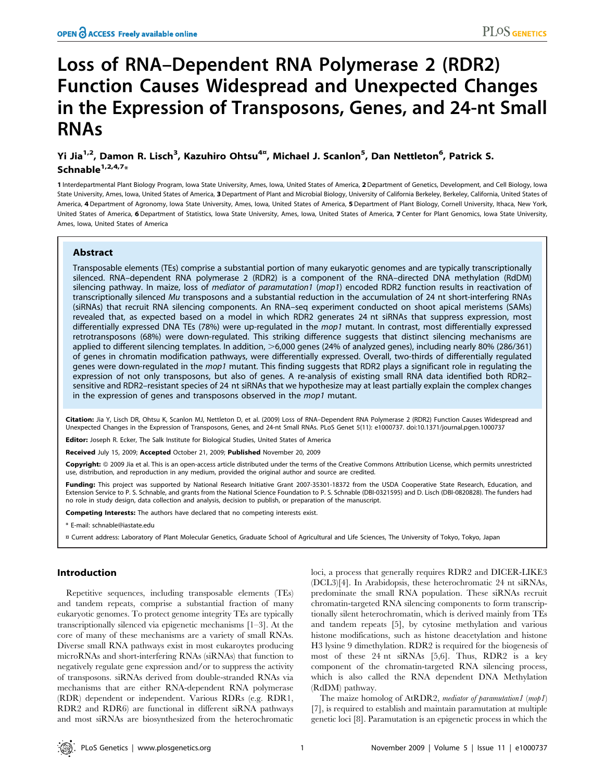# Loss of RNA–Dependent RNA Polymerase 2 (RDR2) Function Causes Widespread and Unexpected Changes in the Expression of Transposons, Genes, and 24-nt Small RNAs

## Yi Jia<sup>1,2</sup>, Damon R. Lisch<sup>3</sup>, Kazuhiro Ohtsu<sup>4¤</sup>, Michael J. Scanlon<sup>5</sup>, Dan Nettleton<sup>6</sup>, Patrick S. Schnable $1,2,4,7*$

1 Interdepartmental Plant Biology Program, Iowa State University, Ames, Iowa, United States of America, 2 Department of Genetics, Development, and Cell Biology, Iowa State University, Ames, Iowa, United States of America, 3 Department of Plant and Microbial Biology, University of California Berkeley, Berkeley, California, United States of America, 4 Department of Agronomy, Iowa State University, Ames, Iowa, United States of America, 5 Department of Plant Biology, Cornell University, Ithaca, New York, United States of America, 6 Department of Statistics, Iowa State University, Ames, Iowa, United States of America, 7 Center for Plant Genomics, Iowa State University, Ames, Iowa, United States of America

### Abstract

Transposable elements (TEs) comprise a substantial portion of many eukaryotic genomes and are typically transcriptionally silenced. RNA–dependent RNA polymerase 2 (RDR2) is a component of the RNA–directed DNA methylation (RdDM) silencing pathway. In maize, loss of mediator of paramutation1 (mop1) encoded RDR2 function results in reactivation of transcriptionally silenced Mu transposons and a substantial reduction in the accumulation of 24 nt short-interfering RNAs (siRNAs) that recruit RNA silencing components. An RNA–seq experiment conducted on shoot apical meristems (SAMs) revealed that, as expected based on a model in which RDR2 generates 24 nt siRNAs that suppress expression, most differentially expressed DNA TEs (78%) were up-regulated in the mop1 mutant. In contrast, most differentially expressed retrotransposons (68%) were down-regulated. This striking difference suggests that distinct silencing mechanisms are applied to different silencing templates. In addition,  $>6,000$  genes (24% of analyzed genes), including nearly 80% (286/361) of genes in chromatin modification pathways, were differentially expressed. Overall, two-thirds of differentially regulated genes were down-regulated in the mop1 mutant. This finding suggests that RDR2 plays a significant role in regulating the expression of not only transposons, but also of genes. A re-analysis of existing small RNA data identified both RDR2– sensitive and RDR2–resistant species of 24 nt siRNAs that we hypothesize may at least partially explain the complex changes in the expression of genes and transposons observed in the mop1 mutant.

Citation: Jia Y, Lisch DR, Ohtsu K, Scanlon MJ, Nettleton D, et al. (2009) Loss of RNA–Dependent RNA Polymerase 2 (RDR2) Function Causes Widespread and Unexpected Changes in the Expression of Transposons, Genes, and 24-nt Small RNAs. PLoS Genet 5(11): e1000737. doi:10.1371/journal.pgen.1000737

Editor: Joseph R. Ecker, The Salk Institute for Biological Studies, United States of America

Received July 15, 2009; Accepted October 21, 2009; Published November 20, 2009

Copyright: @ 2009 Jia et al. This is an open-access article distributed under the terms of the Creative Commons Attribution License, which permits unrestricted use, distribution, and reproduction in any medium, provided the original author and source are credited.

Funding: This project was supported by National Research Initiative Grant 2007-35301-18372 from the USDA Cooperative State Research, Education, and Extension Service to P. S. Schnable, and grants from the National Science Foundation to P. S. Schnable (DBI-0321595) and D. Lisch (DBI-0820828). The funders had no role in study design, data collection and analysis, decision to publish, or preparation of the manuscript.

Competing Interests: The authors have declared that no competing interests exist.

\* E-mail: schnable@iastate.edu

¤ Current address: Laboratory of Plant Molecular Genetics, Graduate School of Agricultural and Life Sciences, The University of Tokyo, Tokyo, Japan

### Introduction

Repetitive sequences, including transposable elements (TEs) and tandem repeats, comprise a substantial fraction of many eukaryotic genomes. To protect genome integrity TEs are typically transcriptionally silenced via epigenetic mechanisms [1–3]. At the core of many of these mechanisms are a variety of small RNAs. Diverse small RNA pathways exist in most eukaroytes producing microRNAs and short-interfering RNAs (siRNAs) that function to negatively regulate gene expression and/or to suppress the activity of transposons. siRNAs derived from double-stranded RNAs via mechanisms that are either RNA-dependent RNA polymerase (RDR) dependent or independent. Various RDRs (e.g. RDR1, RDR2 and RDR6) are functional in different siRNA pathways and most siRNAs are biosynthesized from the heterochromatic loci, a process that generally requires RDR2 and DICER-LIKE3 (DCL3)[4]. In Arabidopsis, these heterochromatic 24 nt siRNAs, predominate the small RNA population. These siRNAs recruit chromatin-targeted RNA silencing components to form transcriptionally silent heterochromatin, which is derived mainly from TEs and tandem repeats [5], by cytosine methylation and various histone modifications, such as histone deacetylation and histone H3 lysine 9 dimethylation. RDR2 is required for the biogenesis of most of these 24 nt siRNAs [5,6]. Thus, RDR2 is a key component of the chromatin-targeted RNA silencing process, which is also called the RNA dependent DNA Methylation (RdDM) pathway.

The maize homolog of AtRDR2, mediator of paramutation1 (mop1) [7], is required to establish and maintain paramutation at multiple genetic loci [8]. Paramutation is an epigenetic process in which the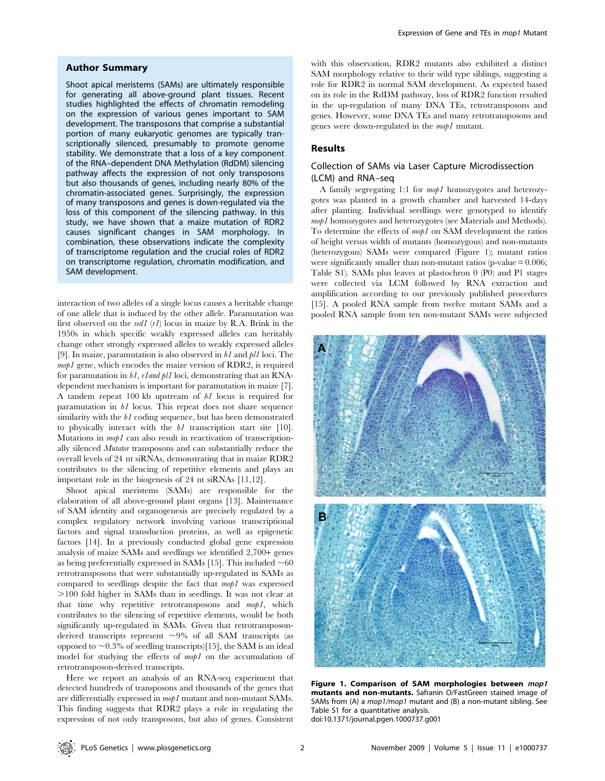#### Author Summary

Shoot apical meristems (SAMs) are ultimately responsible for generating all above-ground plant tissues. Recent studies highlighted the effects of chromatin remodeling on the expression of various genes important to SAM development. The transposons that comprise a substantial portion of many eukaryotic genomes are typically transcriptionally silenced, presumably to promote genome stability. We demonstrate that a loss of a key component of the RNA–dependent DNA Methylation (RdDM) silencing pathway affects the expression of not only transposons but also thousands of genes, including nearly 80% of the chromatin-associated genes. Surprisingly, the expression of many transposons and genes is down-regulated via the loss of this component of the silencing pathway. In this study, we have shown that a maize mutation of RDR2 causes significant changes in SAM morphology. In combination, these observations indicate the complexity of transcriptome regulation and the crucial roles of RDR2 on transcriptome regulation, chromatin modification, and SAM development.

interaction of two alleles of a single locus causes a heritable change of one allele that is induced by the other allele. Paramutation was first observed on the *red1*  $(rI)$  locus in maize by R.A. Brink in the 1950s in which specific weakly expressed alleles can heritably change other strongly expressed alleles to weakly expressed alleles [9]. In maize, paramutation is also observed in  $bI$  and  $pII$  loci. The mop1 gene, which encodes the maize version of RDR2, is required for paramutation in b1, r1and pl1 loci, demonstrating that an RNAdependent mechanism is important for paramutation in maize [7]. A tandem repeat 100 kb upstream of b1 locus is required for paramutation in  $b1$  locus. This repeat does not share sequence similarity with the  $b1$  coding sequence, but has been demonstrated to physically interact with the  $bI$  transcription start site [10]. Mutations in *mop1* can also result in reactivation of transcriptionally silenced Mutator transposons and can substantially reduce the overall levels of 24 nt siRNAs, demonstrating that in maize RDR2 contributes to the silencing of repetitive elements and plays an important role in the biogenesis of 24 nt siRNAs [11,12].

Shoot apical meristems (SAMs) are responsible for the elaboration of all above-ground plant organs [13]. Maintenance of SAM identity and organogenesis are precisely regulated by a complex regulatory network involving various transcriptional factors and signal transduction proteins, as well as epigenetic factors [14]. In a previously conducted global gene expression analysis of maize SAMs and seedlings we identified 2,700+ genes as being preferentially expressed in SAMs [15]. This included  $\sim 60$ retrotransposons that were substantially up-regulated in SAMs as compared to seedlings despite the fact that mop1 was expressed  $>100$  fold higher in SAMs than in seedlings. It was not clear at that time why repetitive retrotransposons and mop1, which contributes to the silencing of repetitive elements, would be both significantly up-regulated in SAMs. Given that retrotransposonderived transcripts represent  $\sim 9\%$  of all SAM transcripts (as opposed to  $\sim$ 0.3% of seedling transcripts)[15], the SAM is an ideal model for studying the effects of mop1 on the accumulation of retrotransposon-derived transcripts.

Here we report an analysis of an RNA-seq experiment that detected hundreds of transposons and thousands of the genes that are differentially expressed in  $moph$  mutant and non-mutant SAMs. This finding suggests that RDR2 plays a role in regulating the expression of not only transposons, but also of genes. Consistent with this observation, RDR2 mutants also exhibited a distinct SAM morphology relative to their wild type siblings, suggesting a role for RDR2 in normal SAM development. As expected based on its role in the RdDM pathway, loss of RDR2 function resulted in the up-regulation of many DNA TEs, retrotransposons and genes. However, some DNA TEs and many retrotransposons and genes were down-regulated in the mop1 mutant.

#### Results

## Collection of SAMs via Laser Capture Microdissection (LCM) and RNA–seq

A family segregating 1:1 for mop1 homozygotes and heterozygotes was planted in a growth chamber and harvested 14-days after planting. Individual seedlings were genotyped to identify mop1 homozygotes and heterozygotes (see Materials and Methods). To determine the effects of mop1 on SAM development the ratios of height versus width of mutants (homozygous) and non-mutants (heterozygous) SAMs were compared (Figure 1); mutant ratios were significantly smaller than non-mutant ratios (p-value  $= 0.006$ ; Table S1). SAMs plus leaves at plastochron 0 (P0) and P1 stages were collected via LCM followed by RNA extraction and amplification according to our previously published procedures [15]. A pooled RNA sample from twelve mutant SAMs and a pooled RNA sample from ten non-mutant SAMs were subjected



Figure 1. Comparison of SAM morphologies between mop1 mutants and non-mutants. Safranin O/FastGreen stained image of SAMs from (A) a mop1/mop1 mutant and (B) a non-mutant sibling. See Table S1 for a quantitative analysis. doi:10.1371/journal.pgen.1000737.g001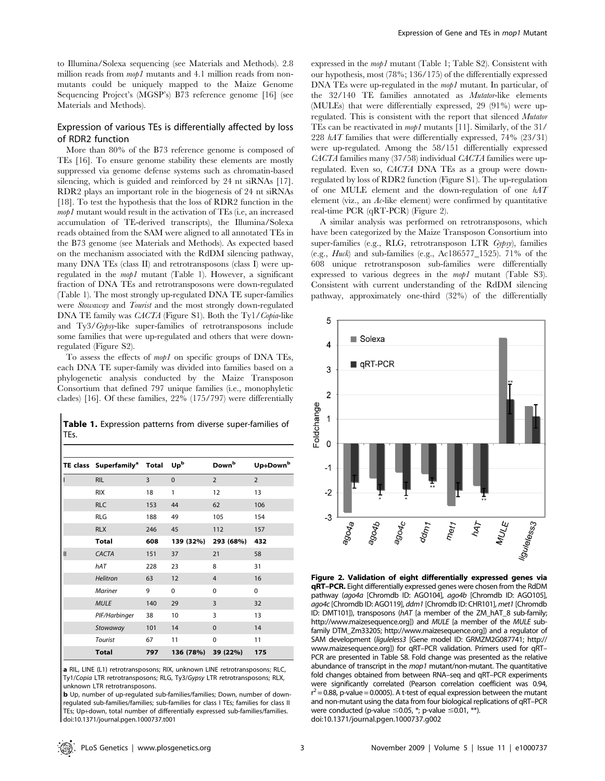to Illumina/Solexa sequencing (see Materials and Methods). 2.8 million reads from  $moph$  mutants and 4.1 million reads from nonmutants could be uniquely mapped to the Maize Genome Sequencing Project's (MGSP's) B73 reference genome [16] (see Materials and Methods).

## Expression of various TEs is differentially affected by loss of RDR2 function

More than 80% of the B73 reference genome is composed of TEs [16]. To ensure genome stability these elements are mostly suppressed via genome defense systems such as chromatin-based silencing, which is guided and reinforced by 24 nt siRNAs [17]. RDR2 plays an important role in the biogenesis of 24 nt siRNAs [18]. To test the hypothesis that the loss of RDR2 function in the mop1 mutant would result in the activation of TEs (i.e, an increased accumulation of TE-derived transcripts), the Illumina/Solexa reads obtained from the SAM were aligned to all annotated TEs in the B73 genome (see Materials and Methods). As expected based on the mechanism associated with the RdDM silencing pathway, many DNA TEs (class II) and retrotransposons (class I) were upregulated in the mop1 mutant (Table 1). However, a significant fraction of DNA TEs and retrotransposons were down-regulated (Table 1). The most strongly up-regulated DNA TE super-families were Stowaway and Tourist and the most strongly down-regulated DNA TE family was CACTA (Figure S1). Both the Ty1/Copia-like and Ty3/Gypsy-like super-families of retrotransposons include some families that were up-regulated and others that were downregulated (Figure S2).

To assess the effects of mop1 on specific groups of DNA TEs, each DNA TE super-family was divided into families based on a phylogenetic analysis conducted by the Maize Transposon Consortium that defined 797 unique families (i.e., monophyletic clades) [16]. Of these families, 22% (175/797) were differentially

Table 1. Expression patterns from diverse super-families of TEs.

|   | TE class Superfamily <sup>a</sup> Total |     | Up <sup>b</sup> | Down <sup>b</sup> | Up+Down <sup>b</sup> |
|---|-----------------------------------------|-----|-----------------|-------------------|----------------------|
|   | <b>RIL</b>                              | 3   | $\mathbf 0$     | $\overline{2}$    | $\overline{2}$       |
|   | <b>RIX</b>                              | 18  | 1               | 12                | 13                   |
|   | <b>RLC</b>                              | 153 | 44              | 62                | 106                  |
|   | <b>RLG</b>                              | 188 | 49              | 105               | 154                  |
|   | <b>RLX</b>                              | 246 | 45              | 112               | 157                  |
|   | <b>Total</b>                            | 608 | 139 (32%)       | 293 (68%)         | 432                  |
| Ш | <b>CACTA</b>                            | 151 | 37              | 21                | 58                   |
|   | hAT                                     | 228 | 23              | 8                 | 31                   |
|   | Helitron                                | 63  | 12              | $\overline{4}$    | 16                   |
|   | <b>Mariner</b>                          | 9   | 0               | $\Omega$          | $\Omega$             |
|   | <b>MULE</b>                             | 140 | 29              | 3                 | 32                   |
|   | PIF/Harbinger                           | 38  | 10              | 3                 | 13                   |
|   | Stowaway                                | 101 | 14              | $\Omega$          | 14                   |
|   | Tourist                                 | 67  | 11              | $\Omega$          | 11                   |
|   | <b>Total</b>                            | 797 | 136 (78%)       | 39 (22%)          | 175                  |

a RIL, LINE (L1) retrotransposons; RIX, unknown LINE retrotransposons; RLC, Ty1/Copia LTR retrotransposons; RLG, Ty3/Gypsy LTR retrotransposons; RLX, unknown LTR retrotransposons.

b Up, number of up-regulated sub-families/families; Down, number of downregulated sub-families/families; sub-families for class I TEs; families for class II TEs; Up+down, total number of differentially expressed sub-families/families. doi:10.1371/journal.pgen.1000737.t001

expressed in the mop1 mutant (Table 1; Table S2). Consistent with our hypothesis, most (78%; 136/175) of the differentially expressed DNA TEs were up-regulated in the *mop1* mutant. In particular, of the 32/140 TE families annotated as Mutator-like elements (MULEs) that were differentially expressed, 29 (91%) were upregulated. This is consistent with the report that silenced Mutator TEs can be reactivated in mop1 mutants [11]. Similarly, of the 31/ 228  $hAT$  families that were differentially expressed, 74% (23/31) were up-regulated. Among the 58/151 differentially expressed CACTA families many (37/58) individual CACTA families were upregulated. Even so, CACTA DNA TEs as a group were downregulated by loss of RDR2 function (Figure S1). The up-regulation of one MULE element and the down-regulation of one hAT element (viz., an  $Ac$ -like element) were confirmed by quantitative real-time PCR (qRT-PCR) (Figure 2).

A similar analysis was performed on retrotransposons, which have been categorized by the Maize Transposon Consortium into super-families (e.g., RLG, retrotransposon LTR Gypsy), families (e.g., Huck) and sub-families (e.g., Ac186577\_1525). 71% of the 608 unique retrotransposon sub-families were differentially expressed to various degrees in the mop1 mutant (Table S3). Consistent with current understanding of the RdDM silencing pathway, approximately one-third (32%) of the differentially



Figure 2. Validation of eight differentially expressed genes via qRT–PCR. Eight differentially expressed genes were chosen from the RdDM pathway (ago4a [Chromdb ID: AGO104], ago4b [Chromdb ID: AGO105], ago4c [Chromdb ID: AGO119], ddm1 [Chromdb ID: CHR101], met1 [Chromdb ID: DMT101]), transposons (hAT [a member of the ZM\_hAT\_8 sub-family; http://www.maizesequence.org]) and MULE [a member of the MULE subfamily DTM\_Zm33205; http://www.maizesequence.org]) and a regulator of SAM development (liguleless3 [Gene model ID: GRMZM2G087741; http:// www.maizesequence.org]) for qRT–PCR validation. Primers used for qRT– PCR are presented in Table S8. Fold change was presented as the relative abundance of transcript in the mop1 mutant/non-mutant. The quantitative fold changes obtained from between RNA–seq and qRT–PCR experiments were significantly correlated (Pearson correlation coefficient was 0.94,  $r^2$  = 0.88, p-value = 0.0005). A t-test of equal expression between the mutant and non-mutant using the data from four biological replications of qRT–PCR were conducted (p-value  $\leq$ 0.05, \*; p-value  $\leq$ 0.01, \*\*). doi:10.1371/journal.pgen.1000737.g002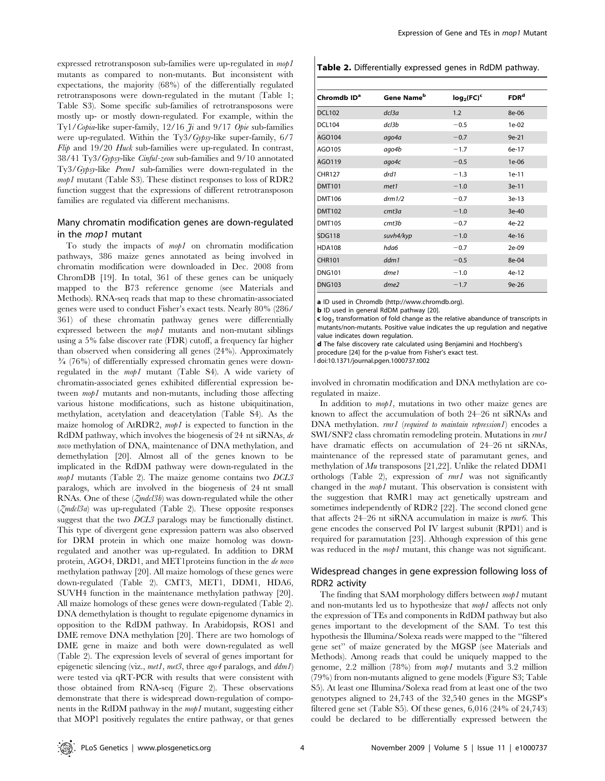expressed retrotransposon sub-families were up-regulated in mop1 mutants as compared to non-mutants. But inconsistent with expectations, the majority (68%) of the differentially regulated retrotransposons were down-regulated in the mutant (Table 1; Table S3). Some specific sub-families of retrotransposons were mostly up- or mostly down-regulated. For example, within the Ty1/Copia-like super-family, 12/16  $\mathcal{T}_l$  and 9/17 Opie sub-families were up-regulated. Within the Ty3/Gypsy-like super-family, 6/7 Flip and 19/20 Huck sub-families were up-regulated. In contrast, 38/41 Ty3/Gypsy-like Cinful-zeon sub-families and 9/10 annotated Ty3/Gypsy-like Prem1 sub-families were down-regulated in the mop1 mutant (Table S3). These distinct responses to loss of RDR2 function suggest that the expressions of different retrotransposon families are regulated via different mechanisms.

## Many chromatin modification genes are down-regulated in the mop1 mutant

To study the impacts of mop1 on chromatin modification pathways, 386 maize genes annotated as being involved in chromatin modification were downloaded in Dec. 2008 from ChromDB [19]. In total, 361 of these genes can be uniquely mapped to the B73 reference genome (see Materials and Methods). RNA-seq reads that map to these chromatin-associated genes were used to conduct Fisher's exact tests. Nearly 80% (286/ 361) of these chromatin pathway genes were differentially expressed between the mop1 mutants and non-mutant siblings using a 5% false discover rate (FDR) cutoff, a frequency far higher than observed when considering all genes (24%). Approximately <sup>3</sup>/<sub>4</sub> (76%) of differentially expressed chromatin genes were downregulated in the mop1 mutant (Table S4). A wide variety of chromatin-associated genes exhibited differential expression between mop1 mutants and non-mutants, including those affecting various histone modifications, such as histone ubiquitination, methylation, acetylation and deacetylation (Table S4). As the maize homolog of AtRDR2, mop1 is expected to function in the RdDM pathway, which involves the biogenesis of 24 nt siRNAs, de novo methylation of DNA, maintenance of DNA methylation, and demethylation [20]. Almost all of the genes known to be implicated in the RdDM pathway were down-regulated in the mop1 mutants (Table 2). The maize genome contains two DCL3 paralogs, which are involved in the biogenesis of 24 nt small RNAs. One of these  $(\zeta \text{mdcl3b})$  was down-regulated while the other  $\langle Zmdcl3a \rangle$  was up-regulated (Table 2). These opposite responses suggest that the two *DCL3* paralogs may be functionally distinct. This type of divergent gene expression pattern was also observed for DRM protein in which one maize homolog was downregulated and another was up-regulated. In addition to DRM protein, AGO4, DRD1, and MET1proteins function in the de novo methylation pathway [20]. All maize homologs of these genes were down-regulated (Table 2). CMT3, MET1, DDM1, HDA6, SUVH4 function in the maintenance methylation pathway [20]. All maize homologs of these genes were down-regulated (Table 2). DNA demethylation is thought to regulate epigenome dynamics in opposition to the RdDM pathway. In Arabidopsis, ROS1 and DME remove DNA methylation [20]. There are two homologs of DME gene in maize and both were down-regulated as well (Table 2). The expression levels of several of genes important for epigenetic silencing (viz.,  $met1$ ,  $met3$ , three  $ago4$  paralogs, and  $ddm1$ ) were tested via qRT-PCR with results that were consistent with those obtained from RNA-seq (Figure 2). These observations demonstrate that there is widespread down-regulation of components in the RdDM pathway in the mop1 mutant, suggesting either that MOP1 positively regulates the entire pathway, or that genes

#### Table 2. Differentially expressed genes in RdDM pathway.

| Chromdb ID <sup>a</sup> | Gene Name <sup>b</sup> | log <sub>2</sub> (FC) <sup>c</sup> | FDR <sup>d</sup> |
|-------------------------|------------------------|------------------------------------|------------------|
| <b>DCL102</b>           | $dc$ 3a                | 1.2                                | 8e-06            |
| <b>DCL104</b>           | dcl3b                  | $-0.5$                             | $1e-02$          |
| AGO104                  | ago4a                  | $-0.7$                             | $9e-21$          |
| AGO105                  | ago4b                  | $-1.7$                             | 6e-17            |
| AGO119                  | ago4c                  | $-0.5$                             | 1e-06            |
| <b>CHR127</b>           | drd1                   | $-1.3$                             | $1e-11$          |
| <b>DMT101</b>           | met1                   | $-1.0$                             | 3e-11            |
| <b>DMT106</b>           | $\dim 1/2$             | $-0.7$                             | $3e-13$          |
| <b>DMT102</b>           | cmt3a                  | $-1.0$                             | 3e-40            |
| <b>DMT105</b>           | cmt3b                  | $-0.7$                             | $4e-22$          |
| <b>SDG118</b>           | suvh4/kyp              | $-1.0$                             | 4e-16            |
| <b>HDA108</b>           | hda6                   | $-0.7$                             | 2e-09            |
| <b>CHR101</b>           | ddm1                   | $-0.5$                             | 8e-04            |
| <b>DNG101</b>           | dme1                   | $-1.0$                             | 4e-12            |
| <b>DNG103</b>           | dme2                   | $-1.7$                             | 9e-26            |

a ID used in Chromdb (http://www.chromdb.org).

**b** ID used in general RdDM pathway [20].

 $c$  log<sub>2</sub> transformation of fold change as the relative abandunce of transcripts in mutants/non-mutants. Positive value indicates the up regulation and negative value indicates down regulation.

d The false discovery rate calculated using Benjamini and Hochberg's procedure [24] for the p-value from Fisher's exact test.

doi:10.1371/journal.pgen.1000737.t002

involved in chromatin modification and DNA methylation are coregulated in maize.

In addition to *mop1*, mutations in two other maize genes are known to affect the accumulation of both 24–26 nt siRNAs and DNA methylation. rmr1 (required to maintain repression1) encodes a SWI/SNF2 class chromatin remodeling protein. Mutations in rmr1 have dramatic effects on accumulation of 24–26 nt siRNAs, maintenance of the repressed state of paramutant genes, and methylation of Mu transposons [21,22]. Unlike the related DDM1 orthologs (Table 2), expression of rmr1 was not significantly changed in the mop1 mutant. This observation is consistent with the suggestion that RMR1 may act genetically upstream and sometimes independently of RDR2 [22]. The second cloned gene that affects 24–26 nt siRNA accumulation in maize is rmr6. This gene encodes the conserved Pol IV largest subunit (RPD1) and is required for paramutation [23]. Although expression of this gene was reduced in the *mop1* mutant, this change was not significant.

### Widespread changes in gene expression following loss of RDR2 activity

The finding that SAM morphology differs between mop1 mutant and non-mutants led us to hypothesize that *mop1* affects not only the expression of TEs and components in RdDM pathway but also genes important to the development of the SAM. To test this hypothesis the Illumina/Solexa reads were mapped to the ''filtered gene set'' of maize generated by the MGSP (see Materials and Methods). Among reads that could be uniquely mapped to the genome, 2.2 million (78%) from mop1 mutants and 3.2 million (79%) from non-mutants aligned to gene models (Figure S3; Table S5). At least one Illumina/Solexa read from at least one of the two genotypes aligned to 24,743 of the 32,540 genes in the MGSP's filtered gene set (Table S5). Of these genes,  $6,016$  (24% of 24,743) could be declared to be differentially expressed between the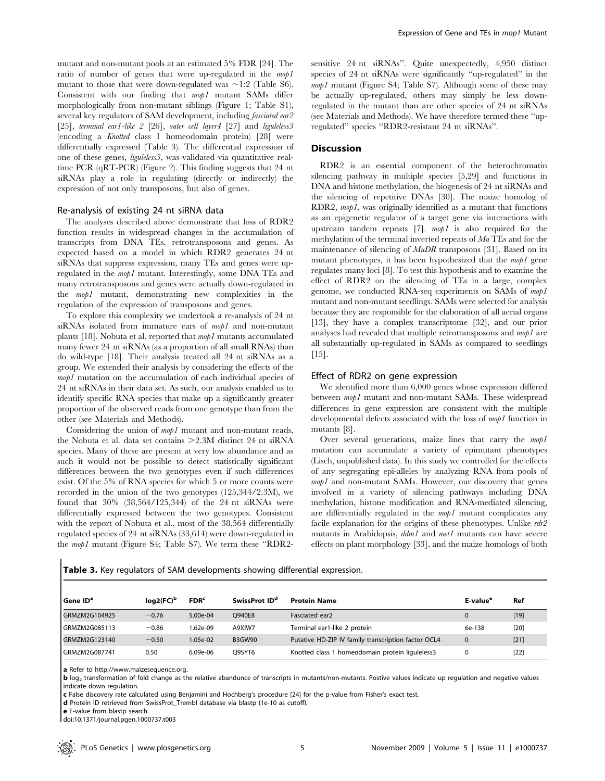mutant and non-mutant pools at an estimated 5% FDR [24]. The ratio of number of genes that were up-regulated in the mob1 mutant to those that were down-regulated was  $\sim$ 1:2 (Table S6). Consistent with our finding that mop1 mutant SAMs differ morphologically from non-mutant siblings (Figure 1; Table S1), several key regulators of SAM development, including *fasciated ear*2 [25], terminal ear1-like 2 [26], outer cell layer4 [27] and liguleless3 (encoding a Knotted class 1 homeodomain protein) [28] were differentially expressed (Table 3). The differential expression of one of these genes, liguleless3, was validated via quantitative realtime PCR (qRT-PCR) (Figure 2). This finding suggests that 24 nt siRNAs play a role in regulating (directly or indirectly) the expression of not only transposons, but also of genes.

#### Re-analysis of existing 24 nt siRNA data

The analyses described above demonstrate that loss of RDR2 function results in widespread changes in the accumulation of transcripts from DNA TEs, retrotransposons and genes. As expected based on a model in which RDR2 generates 24 nt siRNAs that suppress expression, many TEs and genes were upregulated in the mop1 mutant. Interestingly, some DNA TEs and many retrotransposons and genes were actually down-regulated in the mop1 mutant, demonstrating new complexities in the regulation of the expression of transposons and genes.

To explore this complexity we undertook a re-analysis of 24 nt siRNAs isolated from immature ears of mop1 and non-mutant plants [18]. Nobuta et al. reported that mop1 mutants accumulated many fewer 24 nt siRNAs (as a proportion of all small RNAs) than do wild-type [18]. Their analysis treated all 24 nt siRNAs as a group. We extended their analysis by considering the effects of the mop1 mutation on the accumulation of each individual species of 24 nt siRNAs in their data set. As such, our analysis enabled us to identify specific RNA species that make up a significantly greater proportion of the observed reads from one genotype than from the other (see Materials and Methods).

Considering the union of mop1 mutant and non-mutant reads, the Nobuta et al. data set contains  $\geq$  2.3M distinct 24 nt siRNA species. Many of these are present at very low abundance and as such it would not be possible to detect statistically significant differences between the two genotypes even if such differences exist. Of the 5% of RNA species for which 5 or more counts were recorded in the union of the two genotypes (125,344/2.3M), we found that 30% (38,564/125,344) of the 24 nt siRNAs were differentially expressed between the two genotypes. Consistent with the report of Nobuta et al., most of the 38,564 differentially regulated species of 24 nt siRNAs (33,614) were down-regulated in the mop1 mutant (Figure S4; Table S7). We term these ''RDR2sensitive 24 nt siRNAs''. Quite unexpectedly, 4,950 distinct species of 24 nt siRNAs were significantly ''up-regulated'' in the mop1 mutant (Figure S4; Table S7). Although some of these may be actually up-regulated, others may simply be less downregulated in the mutant than are other species of 24 nt siRNAs (see Materials and Methods). We have therefore termed these ''upregulated'' species ''RDR2-resistant 24 nt siRNAs''.

#### **Discussion**

RDR2 is an essential component of the heterochromatin silencing pathway in multiple species [5,29] and functions in DNA and histone methylation, the biogenesis of 24 nt siRNAs and the silencing of repetitive DNAs [30]. The maize homolog of RDR2, mop1, was originally identified as a mutant that functions as an epigenetic regulator of a target gene via interactions with upstream tandem repeats [7]. mop1 is also required for the methylation of the terminal inverted repeats of Mu TEs and for the maintenance of silencing of *MuDR* transposons [31]. Based on its mutant phenotypes, it has been hypothesized that the *mop1* gene regulates many loci [8]. To test this hypothesis and to examine the effect of RDR2 on the silencing of TEs in a large, complex genome, we conducted RNA-seq experiments on SAMs of mop1 mutant and non-mutant seedlings. SAMs were selected for analysis because they are responsible for the elaboration of all aerial organs [13], they have a complex transcriptome [32], and our prior analyses had revealed that multiple retrotransposons and mop1 are all substantially up-regulated in SAMs as compared to seedlings [15].

#### Effect of RDR2 on gene expression

We identified more than 6,000 genes whose expression differed between mop1 mutant and non-mutant SAMs. These widespread differences in gene expression are consistent with the multiple developmental defects associated with the loss of mop1 function in mutants [8].

Over several generations, maize lines that carry the mob1 mutation can accumulate a variety of epimutant phenotypes (Lisch, unpublished data). In this study we controlled for the effects of any segregating epi-alleles by analyzing RNA from pools of mop1 and non-mutant SAMs. However, our discovery that genes involved in a variety of silencing pathways including DNA methylation, histone modification and RNA-mediated silencing, are differentially regulated in the  $m\nu pI$  mutant complicates any facile explanation for the origins of these phenotypes. Unlike rdr2 mutants in Arabidopsis, ddm1 and met1 mutants can have severe effects on plant morphology [33], and the maize homologs of both

Table 3. Key regulators of SAM developments showing differential expression.

| l Gene IDª    | $log2(FC)^b$ | FDR <sup>c</sup> | SwissProt ID <sup>d</sup> | <b>Protein Name</b>                                 | E-value <sup>e</sup> | Ref    |
|---------------|--------------|------------------|---------------------------|-----------------------------------------------------|----------------------|--------|
| GRMZM2G104925 | $-0.76$      | 5.00e-04         | O940E8                    | Fasciated ear2                                      |                      | $[19]$ |
| GRMZM2G085113 | $-0.86$      | 1.62e-09         | A9XIW7                    | Terminal ear1-like 2 protein                        | 6e-138               | $[20]$ |
| GRMZM2G123140 | $-0.50$      | 1.05e-02         | <b>B3GW90</b>             | Putative HD-ZIP IV family transcription factor OCL4 | 0                    | $[21]$ |
| GRMZM2G087741 | 0.50         | $6.09e-06$       | O9SYT6                    | Knotted class 1 homeodomain protein liquieless3     |                      | $[22]$ |

a Refer to http://www.maizesequence.org.

b log<sub>2</sub> transformation of fold change as the relative abandunce of transcripts in mutants/non-mutants. Postive values indicate up regulation and negative values indicate down regulation.

d Protein ID retrieved from SwissProt\_Trembl database via blastp (1e-10 as cutoff).

e E-value from blastp search.

doi:10.1371/journal.pgen.1000737.t003

c False discovery rate calculated using Benjamini and Hochberg's procedure [24] for the p-value from Fisher's exact test.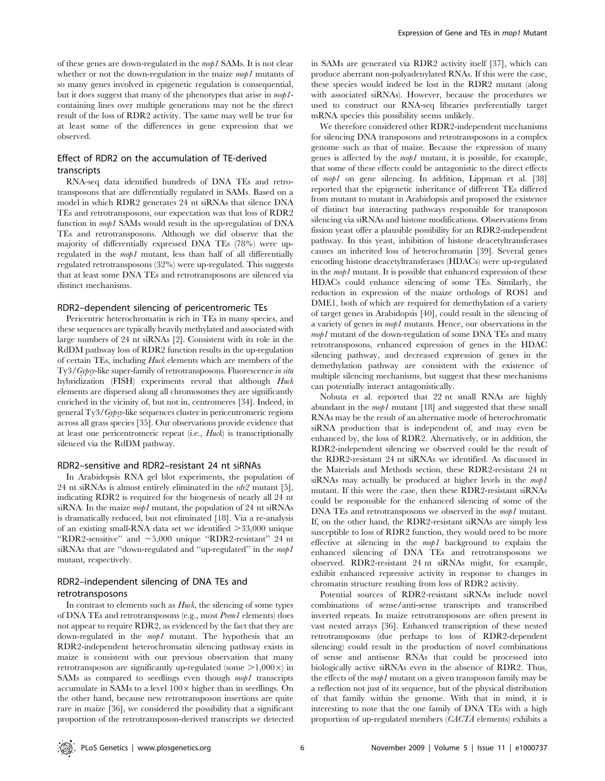of these genes are down-regulated in the mop1 SAMs. It is not clear whether or not the down-regulation in the maize mop1 mutants of so many genes involved in epigenetic regulation is consequential, but it does suggest that many of the phenotypes that arise in mop1 containing lines over multiple generations may not be the direct result of the loss of RDR2 activity. The same may well be true for at least some of the differences in gene expression that we observed.

## Effect of RDR2 on the accumulation of TE-derived transcripts

RNA-seq data identified hundreds of DNA TEs and retrotransposons that are differentially regulated in SAMs. Based on a model in which RDR2 generates 24 nt siRNAs that silence DNA TEs and retrotransposons, our expectation was that loss of RDR2 function in mop1 SAMs would result in the up-regulation of DNA TEs and retrotransposons. Although we did observe that the majority of differentially expressed DNA TEs (78%) were upregulated in the *mop1* mutant, less than half of all differentially regulated retrotransposons (32%) were up-regulated. This suggests that at least some DNA TEs and retrotransposons are silenced via distinct mechanisms.

## RDR2–dependent silencing of pericentromeric TEs

Pericentric heterochromatin is rich in TEs in many species, and these sequences are typically heavily methylated and associated with large numbers of 24 nt siRNAs [2]. Consistent with its role in the RdDM pathway loss of RDR2 function results in the up-regulation of certain TEs, including Huck elements which are members of the Ty3/Gypsy-like super-family of retrotransposons. Fluorescence in situ hybridization (FISH) experiments reveal that although Huck elements are dispersed along all chromosomes they are significantly enriched in the vicinity of, but not in, centromeres [34]. Indeed, in general Ty3/Gypsy-like sequences cluster in pericentromeric regions across all grass species [35]. Our observations provide evidence that at least one pericentromeric repeat (i.e., *Huck*) is transcriptionally silenced via the RdDM pathway.

#### RDR2–sensitive and RDR2–resistant 24 nt siRNAs

In Arabidopsis RNA gel blot experiments, the population of 24 nt siRNAs is almost entirely eliminated in the  $rdr2$  mutant [5], indicating RDR2 is required for the biogenesis of nearly all 24 nt siRNA. In the maize  $moph$  mutant, the population of 24 nt siRNAs is dramatically reduced, but not eliminated [18]. Via a re-analysis of an existing small-RNA data set we identified  $>33,000$  unique "RDR2-sensitive" and  $\sim$  5,000 unique "RDR2-resistant" 24 nt siRNAs that are "down-regulated and "up-regulated" in the mop1 mutant, respectively.

### RDR2–independent silencing of DNA TEs and retrotransposons

In contrast to elements such as Huck, the silencing of some types of DNA TEs and retrotransposons (e.g., most Prem1 elements) does not appear to require RDR2, as evidenced by the fact that they are down-regulated in the *mop1* mutant. The hypothesis that an RDR2-independent heterochromatin silencing pathway exists in maize is consistent with our previous observation that many retrotransposon are significantly up-regulated (some  $>1,000\times$ ) in SAMs as compared to seedlings even though mop1 transcripts accumulate in SAMs to a level  $100 \times$  higher than in seedlings. On the other hand, because new retrotransposon insertions are quite rare in maize [36], we considered the possibility that a significant proportion of the retrotransposon-derived transcripts we detected in SAMs are generated via RDR2 activity itself [37], which can produce aberrant non-polyadenylated RNAs. If this were the case, these species would indeed be lost in the RDR2 mutant (along with associated siRNAs). However, because the procedures we used to construct our RNA-seq libraries preferentially target mRNA species this possibility seems unlikely.

We therefore considered other RDR2-independent mechanisms for silencing DNA transposons and retrotransposons in a complex genome such as that of maize. Because the expression of many genes is affected by the mop1 mutant, it is possible, for example, that some of these effects could be antagonistic to the direct effects of mop1 on gene silencing. In addition, Lippman et al. [38] reported that the epigenetic inheritance of different TEs differed from mutant to mutant in Arabidopsis and proposed the existence of distinct but interacting pathways responsible for transposon silencing via siRNAs and histone modifications. Observations from fission yeast offer a plausible possibility for an RDR2-independent pathway. In this yeast, inhibition of histone deacetyltransferases causes an inherited loss of heterochromatin [39]. Several genes encoding histone deacetyltransferases (HDACs) were up-regulated in the  $m \phi l$  mutant. It is possible that enhanced expression of these HDACs could enhance silencing of some TEs. Similarly, the reduction in expression of the maize orthologs of ROS1 and DME1, both of which are required for demethylation of a variety of target genes in Arabidopsis [40], could result in the silencing of a variety of genes in mop1 mutants. Hence, our observations in the mop1 mutant of the down-regulation of some DNA TEs and many retrotransposons, enhanced expression of genes in the HDAC silencing pathway, and decreased expression of genes in the demethylation pathway are consistent with the existence of multiple silencing mechanisms, but suggest that these mechanisms can potentially interact antagonistically.

Nobuta et al. reported that 22 nt small RNAs are highly abundant in the mop1 mutant [18] and suggested that these small RNAs may be the result of an alternative mode of heterochromatic siRNA production that is independent of, and may even be enhanced by, the loss of RDR2. Alternatively, or in addition, the RDR2-independent silencing we observed could be the result of the RDR2-resistant 24 nt siRNAs we identified. As discussed in the Materials and Methods section, these RDR2-resistant 24 nt siRNAs may actually be produced at higher levels in the mop1 mutant. If this were the case, then these RDR2-resistant siRNAs could be responsible for the enhanced silencing of some of the DNA TEs and retrotransposons we observed in the mop1 mutant. If, on the other hand, the RDR2-resistant siRNAs are simply less susceptible to loss of RDR2 function, they would need to be more effective at silencing in the mop1 background to explain the enhanced silencing of DNA TEs and retrotransposons we observed. RDR2-resistant 24 nt siRNAs might, for example, exhibit enhanced repressive activity in response to changes in chromatin structure resulting from loss of RDR2 activity.

Potential sources of RDR2-resistant siRNAs include novel combinations of sense/anti-sense transcripts and transcribed inverted repeats. In maize retrotransposons are often present in vast nested arrays [36]. Enhanced transcription of these nested retrotransposons (due perhaps to loss of RDR2-dependent silencing) could result in the production of novel combinations of sense and antisense RNAs that could be processed into biologically active siRNAs even in the absence of RDR2. Thus, the effects of the *mop1* mutant on a given transposon family may be a reflection not just of its sequence, but of the physical distribution of that family within the genome. With that in mind, it is interesting to note that the one family of DNA TEs with a high proportion of up-regulated members (CACTA elements) exhibits a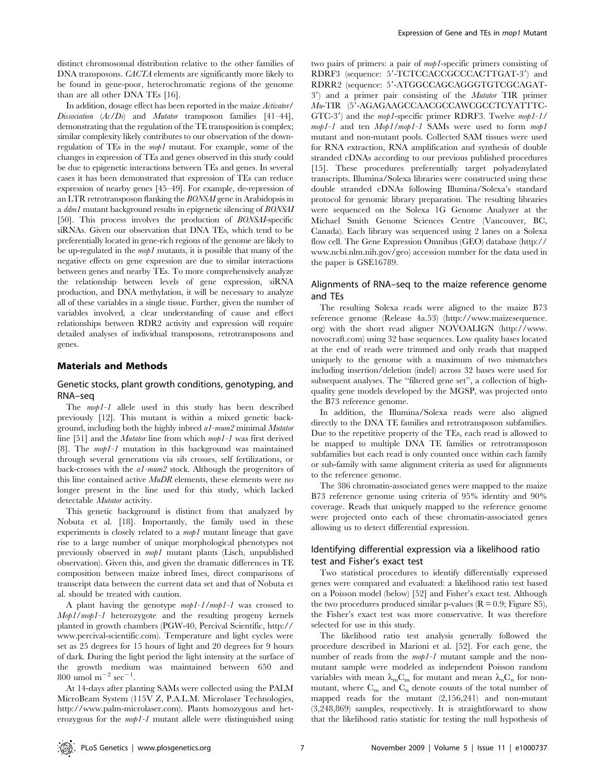distinct chromosomal distribution relative to the other families of DNA transposons. CACTA elements are significantly more likely to be found in gene-poor, heterochromatic regions of the genome than are all other DNA TEs [16].

In addition, dosage effect has been reported in the maize Activator/ Dissociation  $(Ac/Ds)$  and Mutator transposon families [41–44], demonstrating that the regulation of the TE transposition is complex; similar complexity likely contributes to our observation of the downregulation of TEs in the mop1 mutant. For example, some of the changes in expression of TEs and genes observed in this study could be due to epigenetic interactions between TEs and genes. In several cases it has been demonstrated that expression of TEs can reduce expression of nearby genes [45–49]. For example, de-repression of an LTR retrotransposon flanking the BONSAI gene in Arabidopsis in a ddm1 mutant background results in epigenetic silencing of BONSAI [50]. This process involves the production of BONSAI-specific siRNAs. Given our observation that DNA TEs, which tend to be preferentially located in gene-rich regions of the genome are likely to be up-regulated in the mop1 mutants, it is possible that many of the negative effects on gene expression are due to similar interactions between genes and nearby TEs. To more comprehensively analyze the relationship between levels of gene expression, siRNA production, and DNA methylation, it will be necessary to analyze all of these variables in a single tissue. Further, given the number of variables involved, a clear understanding of cause and effect relationships between RDR2 activity and expression will require detailed analyses of individual transposons, retrotransposons and genes.

### Materials and Methods

## Genetic stocks, plant growth conditions, genotyping, and RNA–seq

The mop1-1 allele used in this study has been described previously [12]. This mutant is within a mixed genetic background, including both the highly inbred a1-mum2 minimal Mutator line [51] and the Mutator line from which mop1-1 was first derived [8]. The *mop1-1* mutation in this background was maintained through several generations via sib crosses, self fertilizations, or back-crosses with the a1-mum2 stock. Although the progenitors of this line contained active  $MuDR$  elements, these elements were no longer present in the line used for this study, which lacked detectable Mutator activity.

This genetic background is distinct from that analyzed by Nobuta et al. [18]. Importantly, the family used in these experiments is closely related to a mop1 mutant lineage that gave rise to a large number of unique morphological phenotypes not previously observed in mop1 mutant plants (Lisch, unpublished observation). Given this, and given the dramatic differences in TE composition between maize inbred lines, direct comparisons of transcript data between the current data set and that of Nobuta et al. should be treated with caution.

A plant having the genotype mop1-1/mop1-1 was crossed to Mop1/mop1-1 heterozygote and the resulting progeny kernels planted in growth chambers (PGW-40, Percival Scientific, http:// www.percival-scientific.com). Temperature and light cycles were set as 25 degrees for 15 hours of light and 20 degrees for 9 hours of dark. During the light period the light intensity at the surface of the growth medium was maintained between 650 and 800 umol m<sup>-2</sup> sec<sup>-1</sup>.

At 14-days after planting SAMs were collected using the PALM MicroBeam System (115V Z, P.A.L.M. Microlaser Technologies, http://www.palm-microlaser.com). Plants homozygous and heterozygous for the mop1-1 mutant allele were distinguished using two pairs of primers: a pair of mop1-specific primers consisting of RDRF3 (sequence: 5'-TCTCCACCGCCCACTTGAT-3') and RDRR2 (sequence: 5'-ATGGCCAGCAGGGTGTCGCAGAT-3') and a primer pair consisting of the *Mutator* TIR primer  $Mu$ -TIR (5'-AGAGAAGCCAACGCCAWCGCCTCYATTTC-GTC-3') and the mop1-specific primer RDRF3. Twelve mop1-1/ mop1-1 and ten Mop1/mop1-1 SAMs were used to form mop1 mutant and non-mutant pools. Collected SAM tissues were used for RNA extraction, RNA amplification and synthesis of double stranded cDNAs according to our previous published procedures [15]. These procedures preferentially target polyadenylated transcripts. Illumina/Solexa libraries were constructed using these double stranded cDNAs following Illumina/Solexa's standard protocol for genomic library preparation. The resulting libraries were sequenced on the Solexa 1G Genome Analyzer at the Michael Smith Genome Sciences Centre (Vancouver, BC, Canada). Each library was sequenced using 2 lanes on a Solexa flow cell. The Gene Expression Omnibus (GEO) database (http:// www.ncbi.nlm.nih.gov/geo) accession number for the data used in the paper is GSE16789.

### Alignments of RNA–seq to the maize reference genome and TEs

The resulting Solexa reads were aligned to the maize B73 reference genome (Release 4a.53) (http://www.maizesequence. org) with the short read aligner NOVOALIGN (http://www. novocraft.com) using 32 base sequences. Low quality bases located at the end of reads were trimmed and only reads that mapped uniquely to the genome with a maximum of two mismatches including insertion/deletion (indel) across 32 bases were used for subsequent analyses. The "filtered gene set", a collection of highquality gene models developed by the MGSP, was projected onto the B73 reference genome.

In addition, the Illumina/Solexa reads were also aligned directly to the DNA TE families and retrotransposon subfamilies. Due to the repetitive property of the TEs, each read is allowed to be mapped to multiple DNA TE families or retrotransposon subfamilies but each read is only counted once within each family or sub-family with same alignment criteria as used for alignments to the reference genome.

The 386 chromatin-associated genes were mapped to the maize B73 reference genome using criteria of 95% identity and 90% coverage. Reads that uniquely mapped to the reference genome were projected onto each of these chromatin-associated genes allowing us to detect differential expression.

## Identifying differential expression via a likelihood ratio test and Fisher's exact test

Two statistical procedures to identify differentially expressed genes were compared and evaluated: a likelihood ratio test based on a Poisson model (below) [52] and Fisher's exact test. Although the two procedures produced similar p-values  $(R = 0.9;$  Figure S5), the Fisher's exact test was more conservative. It was therefore selected for use in this study.

The likelihood ratio test analysis generally followed the procedure described in Marioni et al. [52]. For each gene, the number of reads from the mop1-1 mutant sample and the nonmutant sample were modeled as independent Poisson random variables with mean  $\lambda_m C_m$  for mutant and mean  $\lambda_n C_n$  for nonmutant, where  $C_m$  and  $C_n$  denote counts of the total number of mapped reads for the mutant (2,156,241) and non-mutant (3,248,869) samples, respectively. It is straightforward to show that the likelihood ratio statistic for testing the null hypothesis of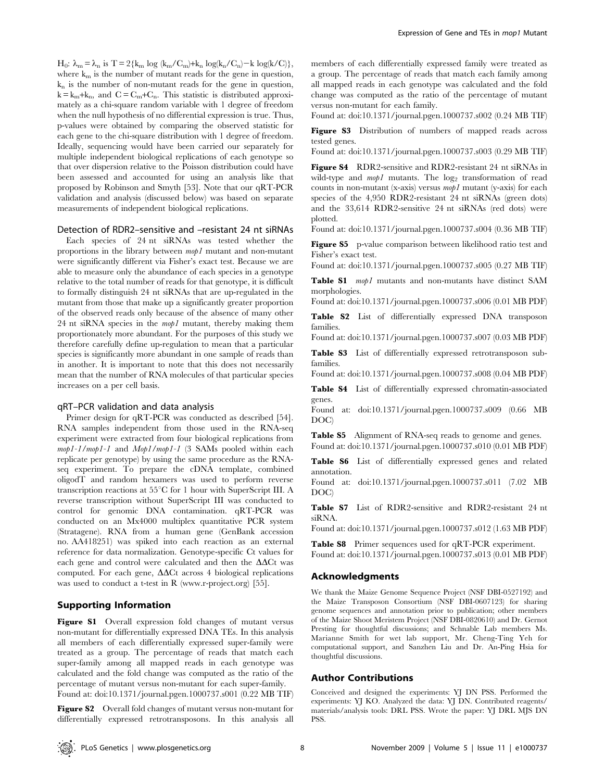$H_0$ :  $\lambda_m = \lambda_n$  is  $T = 2\{k_m \log (k_m/C_m)+k_n \log(k_n/C_n)-k \log(k/C)\},$ where  $k_m$  is the number of mutant reads for the gene in question,  $k_n$  is the number of non-mutant reads for the gene in question,  $k = k_m + k_n$ , and  $C = C_m + C_n$ . This statistic is distributed approximately as a chi-square random variable with 1 degree of freedom when the null hypothesis of no differential expression is true. Thus, p-values were obtained by comparing the observed statistic for each gene to the chi-square distribution with 1 degree of freedom. Ideally, sequencing would have been carried our separately for multiple independent biological replications of each genotype so that over dispersion relative to the Poisson distribution could have been assessed and accounted for using an analysis like that proposed by Robinson and Smyth [53]. Note that our qRT-PCR validation and analysis (discussed below) was based on separate measurements of independent biological replications.

## Detection of RDR2–sensitive and –resistant 24 nt siRNAs

Each species of 24 nt siRNAs was tested whether the proportions in the library between mop1 mutant and non-mutant were significantly different via Fisher's exact test. Because we are able to measure only the abundance of each species in a genotype relative to the total number of reads for that genotype, it is difficult to formally distinguish 24 nt siRNAs that are up-regulated in the mutant from those that make up a significantly greater proportion of the observed reads only because of the absence of many other 24 nt siRNA species in the  $moph$  mutant, thereby making them proportionately more abundant. For the purposes of this study we therefore carefully define up-regulation to mean that a particular species is significantly more abundant in one sample of reads than in another. It is important to note that this does not necessarily mean that the number of RNA molecules of that particular species increases on a per cell basis.

#### qRT–PCR validation and data analysis

Primer design for qRT-PCR was conducted as described [54]. RNA samples independent from those used in the RNA-seq experiment were extracted from four biological replications from mop1-1/mop1-1 and Mop1/mop1-1 (3 SAMs pooled within each replicate per genotype) by using the same procedure as the RNAseq experiment. To prepare the cDNA template, combined oligodT and random hexamers was used to perform reverse transcription reactions at 55°C for 1 hour with SuperScript III. A reverse transcription without SuperScript III was conducted to control for genomic DNA contamination. qRT-PCR was conducted on an Mx4000 multiplex quantitative PCR system (Stratagene). RNA from a human gene (GenBank accession no. AA418251) was spiked into each reaction as an external reference for data normalization. Genotype-specific Ct values for each gene and control were calculated and then the  $\Delta\Delta$ Ct was computed. For each gene,  $\Delta\Delta$ Ct across 4 biological replications was used to conduct a t-test in R (www.r-project.org) [55].

#### Supporting Information

Figure S1 Overall expression fold changes of mutant versus non-mutant for differentially expressed DNA TEs. In this analysis all members of each differentially expressed super-family were treated as a group. The percentage of reads that match each super-family among all mapped reads in each genotype was calculated and the fold change was computed as the ratio of the percentage of mutant versus non-mutant for each super-family. Found at: doi:10.1371/journal.pgen.1000737.s001 (0.22 MB TIF)

Figure S2 Overall fold changes of mutant versus non-mutant for differentially expressed retrotransposons. In this analysis all members of each differentially expressed family were treated as a group. The percentage of reads that match each family among all mapped reads in each genotype was calculated and the fold change was computed as the ratio of the percentage of mutant versus non-mutant for each family.

Found at: doi:10.1371/journal.pgen.1000737.s002 (0.24 MB TIF)

Figure S3 Distribution of numbers of mapped reads across tested genes.

Found at: doi:10.1371/journal.pgen.1000737.s003 (0.29 MB TIF)

Figure S4 RDR2-sensitive and RDR2-resistant 24 nt siRNAs in wild-type and  $m \phi l$  mutants. The log<sub>2</sub> transformation of read counts in non-mutant (x-axis) versus  $m \phi l$  mutant (y-axis) for each species of the 4,950 RDR2-resistant 24 nt siRNAs (green dots) and the 33,614 RDR2-sensitive 24 nt siRNAs (red dots) were plotted.

Found at: doi:10.1371/journal.pgen.1000737.s004 (0.36 MB TIF)

Figure S5 p-value comparison between likelihood ratio test and Fisher's exact test.

Found at: doi:10.1371/journal.pgen.1000737.s005 (0.27 MB TIF)

Table S1 mop1 mutants and non-mutants have distinct SAM morphologies.

Found at: doi:10.1371/journal.pgen.1000737.s006 (0.01 MB PDF)

Table S2 List of differentially expressed DNA transposon families.

Found at: doi:10.1371/journal.pgen.1000737.s007 (0.03 MB PDF)

Table S3 List of differentially expressed retrotransposon subfamilies.

Found at: doi:10.1371/journal.pgen.1000737.s008 (0.04 MB PDF)

Table S4 List of differentially expressed chromatin-associated genes.

Found at: doi:10.1371/journal.pgen.1000737.s009 (0.66 MB DOC)

Table S5 Alignment of RNA-seq reads to genome and genes. Found at: doi:10.1371/journal.pgen.1000737.s010 (0.01 MB PDF)

Table S6 List of differentially expressed genes and related annotation.

Found at: doi:10.1371/journal.pgen.1000737.s011 (7.02 MB DOC)

Table S7 List of RDR2-sensitive and RDR2-resistant 24 nt siRNA.

Found at: doi:10.1371/journal.pgen.1000737.s012 (1.63 MB PDF)

Table S8 Primer sequences used for qRT-PCR experiment. Found at: doi:10.1371/journal.pgen.1000737.s013 (0.01 MB PDF)

#### Acknowledgments

We thank the Maize Genome Sequence Project (NSF DBI-0527192) and the Maize Transposon Consortium (NSF DBI-0607123) for sharing genome sequences and annotation prior to publication; other members of the Maize Shoot Meristem Project (NSF DBI-0820610) and Dr. Gernot Presting for thoughtful discussions; and Schnable Lab members Ms. Marianne Smith for wet lab support, Mr. Cheng-Ting Yeh for computational support, and Sanzhen Liu and Dr. An-Ping Hsia for thoughtful discussions.

## Author Contributions

Conceived and designed the experiments: YJ DN PSS. Performed the experiments: YJ KO. Analyzed the data: YJ DN. Contributed reagents/ materials/analysis tools: DRL PSS. Wrote the paper: YJ DRL MJS DN PSS.